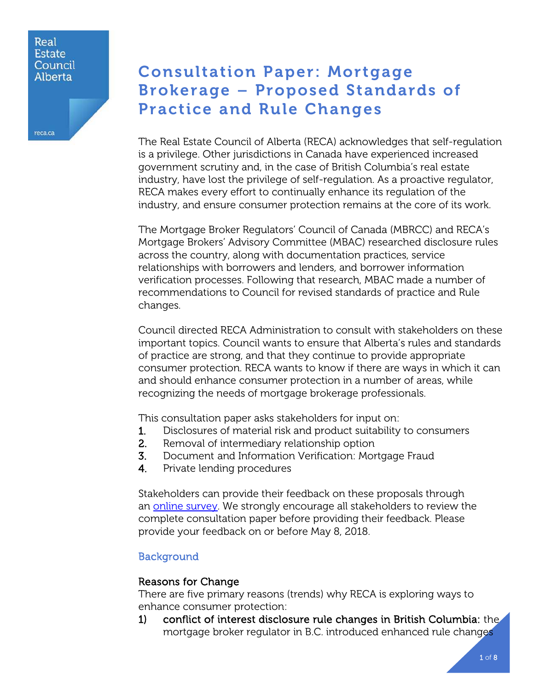#### Real **Estate** Council Alberta

reca.ca

# Consultation Paper: Mortgage Brokerage – Proposed Standards of Practice and Rule Changes

The Real Estate Council of Alberta (RECA) acknowledges that self-regulation is a privilege. Other jurisdictions in Canada have experienced increased government scrutiny and, in the case of British Columbia's real estate industry, have lost the privilege of self-regulation. As a proactive regulator, RECA makes every effort to continually enhance its regulation of the industry, and ensure consumer protection remains at the core of its work.

The Mortgage Broker Regulators' Council of Canada (MBRCC) and RECA's Mortgage Brokers' Advisory Committee (MBAC) researched disclosure rules across the country, along with documentation practices, service relationships with borrowers and lenders, and borrower information verification processes. Following that research, MBAC made a number of recommendations to Council for revised standards of practice and Rule changes.

Council directed RECA Administration to consult with stakeholders on these important topics. Council wants to ensure that Alberta's rules and standards of practice are strong, and that they continue to provide appropriate consumer protection. RECA wants to know if there are ways in which it can and should enhance consumer protection in a number of areas, while recognizing the needs of mortgage brokerage professionals.

This consultation paper asks stakeholders for input on:

- 1. Disclosures of material risk and product suitability to consumers
- 2. Removal of intermediary relationship option
- 3. Document and Information Verification: Mortgage Fraud
- 4. Private lending procedures

Stakeholders can provide their feedback on these proposals through an [online survey.](https://www.surveymonkey.com/r/mortgage_rule_consultation) We strongly encourage all stakeholders to review the complete consultation paper before providing their feedback. Please provide your feedback on or before May 8, 2018.

## Background

## Reasons for Change

There are five primary reasons (trends) why RECA is exploring ways to enhance consumer protection:

1) conflict of interest disclosure rule changes in British Columbia: the mortgage broker regulator in B.C. introduced enhanced rule changes

1 of 8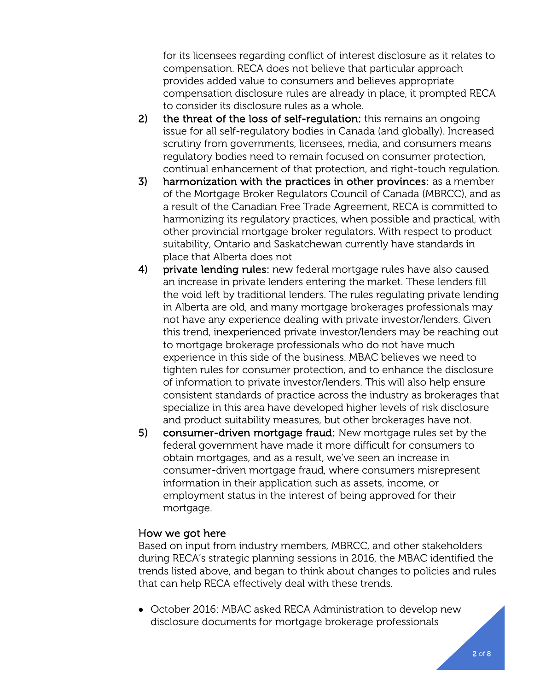for its licensees regarding conflict of interest disclosure as it relates to compensation. RECA does not believe that particular approach provides added value to consumers and believes appropriate compensation disclosure rules are already in place, it prompted RECA to consider its disclosure rules as a whole.

- 2) the threat of the loss of self-regulation: this remains an ongoing issue for all self-regulatory bodies in Canada (and globally). Increased scrutiny from governments, licensees, media, and consumers means regulatory bodies need to remain focused on consumer protection, continual enhancement of that protection, and right-touch regulation.
- 3) harmonization with the practices in other provinces: as a member of the Mortgage Broker Regulators Council of Canada (MBRCC), and as a result of the Canadian Free Trade Agreement, RECA is committed to harmonizing its regulatory practices, when possible and practical, with other provincial mortgage broker regulators. With respect to product suitability, Ontario and Saskatchewan currently have standards in place that Alberta does not
- 4) private lending rules: new federal mortgage rules have also caused an increase in private lenders entering the market. These lenders fill the void left by traditional lenders. The rules regulating private lending in Alberta are old, and many mortgage brokerages professionals may not have any experience dealing with private investor/lenders. Given this trend, inexperienced private investor/lenders may be reaching out to mortgage brokerage professionals who do not have much experience in this side of the business. MBAC believes we need to tighten rules for consumer protection, and to enhance the disclosure of information to private investor/lenders. This will also help ensure consistent standards of practice across the industry as brokerages that specialize in this area have developed higher levels of risk disclosure and product suitability measures, but other brokerages have not.
- 5) consumer-driven mortgage fraud: New mortgage rules set by the federal government have made it more difficult for consumers to obtain mortgages, and as a result, we've seen an increase in consumer-driven mortgage fraud, where consumers misrepresent information in their application such as assets, income, or employment status in the interest of being approved for their mortgage.

## How we got here

Based on input from industry members, MBRCC, and other stakeholders during RECA's strategic planning sessions in 2016, the MBAC identified the trends listed above, and began to think about changes to policies and rules that can help RECA effectively deal with these trends.

• October 2016: MBAC asked RECA Administration to develop new disclosure documents for mortgage brokerage professionals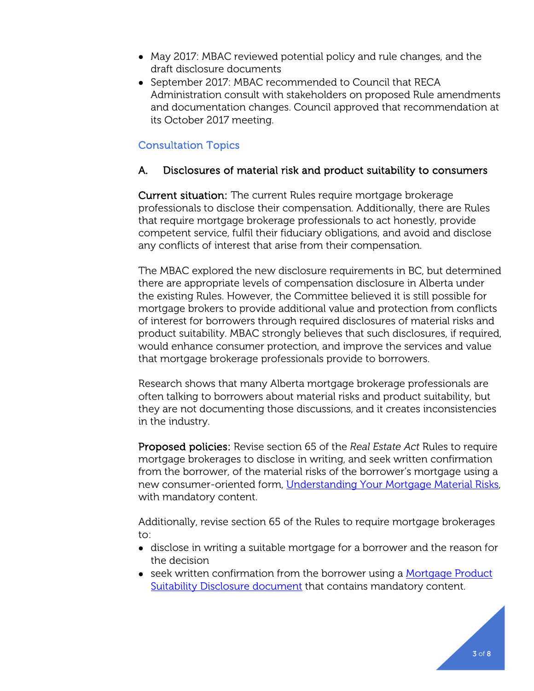- May 2017: MBAC reviewed potential policy and rule changes, and the draft disclosure documents
- September 2017: MBAC recommended to Council that RECA Administration consult with stakeholders on proposed Rule amendments and documentation changes. Council approved that recommendation at its October 2017 meeting.

# Consultation Topics

## A. Disclosures of material risk and product suitability to consumers

Current situation: The current Rules require mortgage brokerage professionals to disclose their compensation. Additionally, there are Rules that require mortgage brokerage professionals to act honestly, provide competent service, fulfil their fiduciary obligations, and avoid and disclose any conflicts of interest that arise from their compensation.

The MBAC explored the new disclosure requirements in BC, but determined there are appropriate levels of compensation disclosure in Alberta under the existing Rules. However, the Committee believed it is still possible for mortgage brokers to provide additional value and protection from conflicts of interest for borrowers through required disclosures of material risks and product suitability. MBAC strongly believes that such disclosures, if required, would enhance consumer protection, and improve the services and value that mortgage brokerage professionals provide to borrowers.

Research shows that many Alberta mortgage brokerage professionals are often talking to borrowers about material risks and product suitability, but they are not documenting those discussions, and it creates inconsistencies in the industry.

Proposed policies: Revise section 65 of the *Real Estate Act* Rules to require mortgage brokerages to disclose in writing, and seek written confirmation from the borrower, of the material risks of the borrower's mortgage using a new consumer-oriented form, [Understanding Your Mortgage Material Risks,](http://www.reca.ca/industry/legislation/PDF/Draft-Understanding-Your-Mortgage-Material-Risks.pdf) with mandatory content.

Additionally, revise section 65 of the Rules to require mortgage brokerages to:

- disclose in writing a suitable mortgage for a borrower and the reason for the decision
- seek written confirmation from the borrower using a Mortgage Product [Suitability Disclosure document](http://www.reca.ca/industry/legislation/PDF/Draft-Mortgage-Product-Suitability-Disclosure.pdf) that contains mandatory content.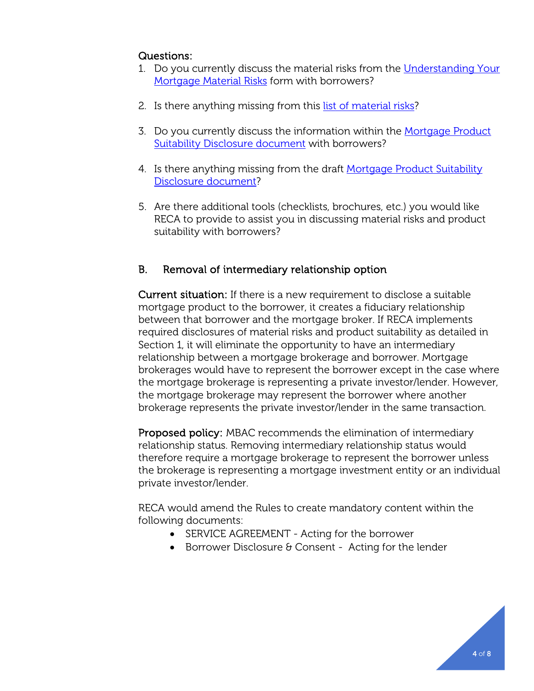# Questions:

- 1. Do you currently discuss the material risks from the [Understanding Your](http://www.reca.ca/industry/legislation/PDF/Draft-Understanding-Your-Mortgage-Material-Risks.pdf)  [Mortgage Material Risks](http://www.reca.ca/industry/legislation/PDF/Draft-Understanding-Your-Mortgage-Material-Risks.pdf) form with borrowers?
- 2. Is there anything missing from this [list of material risks?](http://www.reca.ca/industry/legislation/PDF/Draft-Understanding-Your-Mortgage-Material-Risks.pdf)
- 3. Do you currently discuss the information within the [Mortgage Product](http://www.reca.ca/industry/legislation/PDF/Draft-Mortgage-Product-Suitability-Disclosure.pdf)  [Suitability Disclosure document](http://www.reca.ca/industry/legislation/PDF/Draft-Mortgage-Product-Suitability-Disclosure.pdf) with borrowers?
- 4. Is there anything missing from the draft Mortgage Product Suitability [Disclosure document?](http://www.reca.ca/industry/legislation/PDF/Draft-Mortgage-Product-Suitability-Disclosure.pdf)
- 5. Are there additional tools (checklists, brochures, etc.) you would like RECA to provide to assist you in discussing material risks and product suitability with borrowers?

# B. Removal of intermediary relationship option

Current situation: If there is a new requirement to disclose a suitable mortgage product to the borrower, it creates a fiduciary relationship between that borrower and the mortgage broker. If RECA implements required disclosures of material risks and product suitability as detailed in Section 1, it will eliminate the opportunity to have an intermediary relationship between a mortgage brokerage and borrower. Mortgage brokerages would have to represent the borrower except in the case where the mortgage brokerage is representing a private investor/lender. However, the mortgage brokerage may represent the borrower where another brokerage represents the private investor/lender in the same transaction.

Proposed policy: MBAC recommends the elimination of intermediary relationship status. Removing intermediary relationship status would therefore require a mortgage brokerage to represent the borrower unless the brokerage is representing a mortgage investment entity or an individual private investor/lender.

RECA would amend the Rules to create mandatory content within the following documents:

- SERVICE AGREEMENT Acting for the borrower
- Borrower Disclosure & Consent Acting for the lender

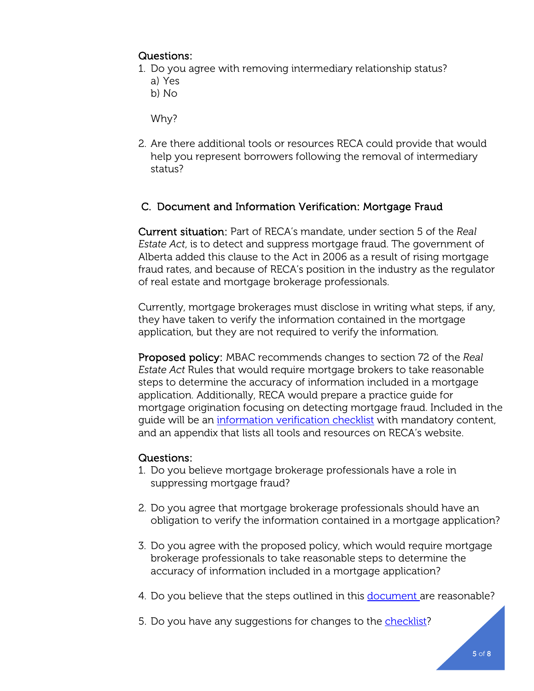# Questions:

- 1. Do you agree with removing intermediary relationship status?
	- a) Yes
	- b) No

Why?

2. Are there additional tools or resources RECA could provide that would help you represent borrowers following the removal of intermediary status?

# C. Document and Information Verification: Mortgage Fraud

Current situation: Part of RECA's mandate, under section 5 of the *Real Estate Act*, is to detect and suppress mortgage fraud. The government of Alberta added this clause to the Act in 2006 as a result of rising mortgage fraud rates, and because of RECA's position in the industry as the regulator of real estate and mortgage brokerage professionals.

Currently, mortgage brokerages must disclose in writing what steps, if any, they have taken to verify the information contained in the mortgage application, but they are not required to verify the information.

Proposed policy: MBAC recommends changes to section 72 of the *Real Estate Act* Rules that would require mortgage brokers to take reasonable steps to determine the accuracy of information included in a mortgage application. Additionally, RECA would prepare a practice guide for mortgage origination focusing on detecting mortgage fraud. Included in the guide will be an [information verification checklist](http://www.reca.ca/industry/legislation/PDF/Draft-Checklist-for-Fraud-Detection.pdf) with mandatory content, and an appendix that lists all tools and resources on RECA's website.

## Questions:

- 1. Do you believe mortgage brokerage professionals have a role in suppressing mortgage fraud?
- 2. Do you agree that mortgage brokerage professionals should have an obligation to verify the information contained in a mortgage application?
- 3. Do you agree with the proposed policy, which would require mortgage brokerage professionals to take reasonable steps to determine the accuracy of information included in a mortgage application?
- 4. Do you believe that the steps outlined in this [document a](http://www.reca.ca/industry/legislation/PDF/Draft-Checklist-for-Fraud-Detection.pdf)re reasonable?
- 5. Do you have any suggestions for changes to the [checklist?](http://www.reca.ca/industry/legislation/PDF/Draft-Checklist-for-Fraud-Detection.pdf)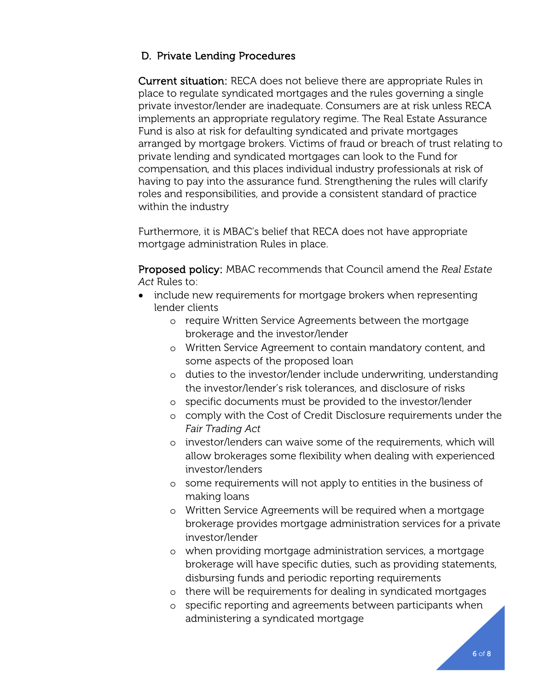# D. Private Lending Procedures

Current situation: RECA does not believe there are appropriate Rules in place to regulate syndicated mortgages and the rules governing a single private investor/lender are inadequate. Consumers are at risk unless RECA implements an appropriate regulatory regime. The Real Estate Assurance Fund is also at risk for defaulting syndicated and private mortgages arranged by mortgage brokers. Victims of fraud or breach of trust relating to private lending and syndicated mortgages can look to the Fund for compensation, and this places individual industry professionals at risk of having to pay into the assurance fund. Strengthening the rules will clarify roles and responsibilities, and provide a consistent standard of practice within the industry

Furthermore, it is MBAC's belief that RECA does not have appropriate mortgage administration Rules in place.

Proposed policy: MBAC recommends that Council amend the *Real Estate Act* Rules to:

- include new requirements for mortgage brokers when representing lender clients
	- o require Written Service Agreements between the mortgage brokerage and the investor/lender
	- o Written Service Agreement to contain mandatory content, and some aspects of the proposed loan
	- o duties to the investor/lender include underwriting, understanding the investor/lender's risk tolerances, and disclosure of risks
	- o specific documents must be provided to the investor/lender
	- o comply with the Cost of Credit Disclosure requirements under the *Fair Trading Act*
	- o investor/lenders can waive some of the requirements, which will allow brokerages some flexibility when dealing with experienced investor/lenders
	- o some requirements will not apply to entities in the business of making loans
	- o Written Service Agreements will be required when a mortgage brokerage provides mortgage administration services for a private investor/lender
	- o when providing mortgage administration services, a mortgage brokerage will have specific duties, such as providing statements, disbursing funds and periodic reporting requirements
	- o there will be requirements for dealing in syndicated mortgages
	- specific reporting and agreements between participants when administering a syndicated mortgage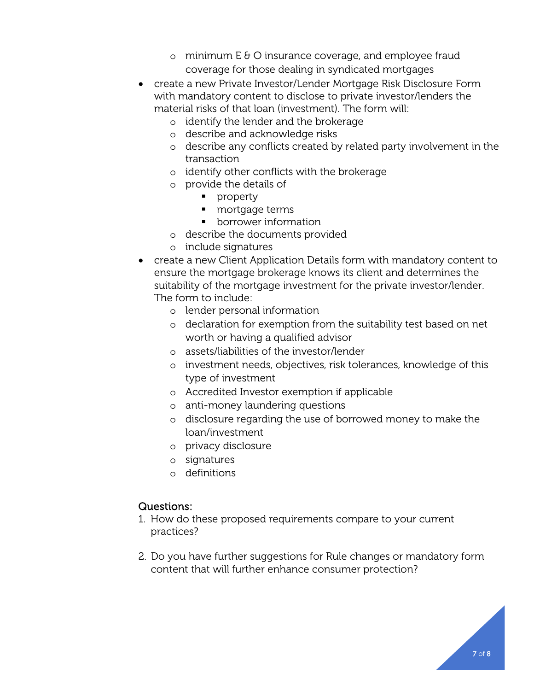- o minimum  $E \oplus O$  insurance coverage, and employee fraud coverage for those dealing in syndicated mortgages
- create a new Private Investor/Lender Mortgage Risk Disclosure Form with mandatory content to disclose to private investor/lenders the material risks of that loan (investment). The form will:
	- o identify the lender and the brokerage
	- o describe and acknowledge risks
	- o describe any conflicts created by related party involvement in the transaction
	- o identify other conflicts with the brokerage
	- o provide the details of
		- **property**
		- **nd** mortgage terms
		- **•** borrower information
	- o describe the documents provided
	- o include signatures
- create a new Client Application Details form with mandatory content to ensure the mortgage brokerage knows its client and determines the suitability of the mortgage investment for the private investor/lender. The form to include:
	- o lender personal information
	- o declaration for exemption from the suitability test based on net worth or having a qualified advisor
	- o assets/liabilities of the investor/lender
	- o investment needs, objectives, risk tolerances, knowledge of this type of investment
	- o Accredited Investor exemption if applicable
	- o anti-money laundering questions
	- o disclosure regarding the use of borrowed money to make the loan/investment
	- o privacy disclosure
	- o signatures
	- o definitions

## Questions:

- 1. How do these proposed requirements compare to your current practices?
- 2. Do you have further suggestions for Rule changes or mandatory form content that will further enhance consumer protection?